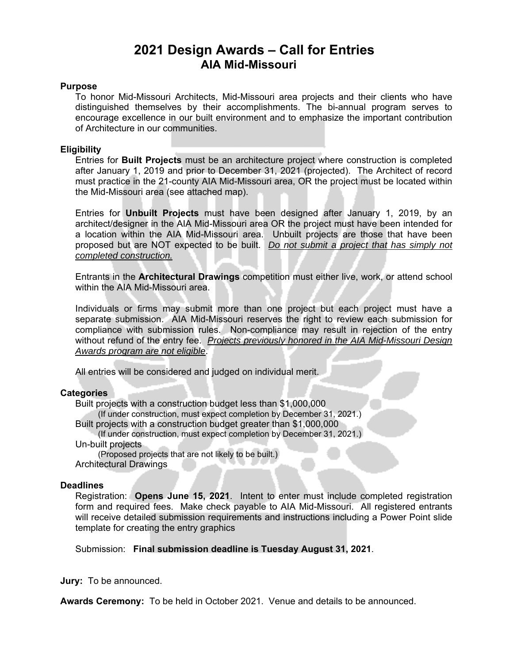## **2021 Design Awards – Call for Entries AIA Mid-Missouri**

#### **Purpose**

To honor Mid-Missouri Architects, Mid-Missouri area projects and their clients who have distinguished themselves by their accomplishments. The bi-annual program serves to encourage excellence in our built environment and to emphasize the important contribution of Architecture in our communities.

#### **Eligibility**

Entries for **Built Projects** must be an architecture project where construction is completed after January 1, 2019 and prior to December 31, 2021 (projected). The Architect of record must practice in the 21-county AIA Mid-Missouri area, OR the project must be located within the Mid-Missouri area (see attached map).

Entries for **Unbuilt Projects** must have been designed after January 1, 2019, by an architect/designer in the AIA Mid-Missouri area OR the project must have been intended for a location within the AIA Mid-Missouri area. Unbuilt projects are those that have been proposed but are NOT expected to be built. *Do not submit a project that has simply not completed construction.*

Entrants in the **Architectural Drawings** competition must either live, work, or attend school within the AIA Mid-Missouri area.

Individuals or firms may submit more than one project but each project must have a separate submission. AIA Mid-Missouri reserves the right to review each submission for compliance with submission rules. Non-compliance may result in rejection of the entry without refund of the entry fee. *Projects previously honored in the AIA Mid-Missouri Design Awards program are not eligible*.

All entries will be considered and judged on individual merit.

### **Categories**

Built projects with a construction budget less than \$1,000,000

(If under construction, must expect completion by December 31, 2021.)

Built projects with a construction budget greater than \$1,000,000

#### (If under construction, must expect completion by December 31, 2021.)

Un-built projects

(Proposed projects that are not likely to be built.)

Architectural Drawings

#### **Deadlines**

Registration: **Opens June 15, 2021**. Intent to enter must include completed registration form and required fees. Make check payable to AIA Mid-Missouri. All registered entrants will receive detailed submission requirements and instructions including a Power Point slide template for creating the entry graphics

Submission: **Final submission deadline is Tuesday August 31, 2021**.

**Jury:** To be announced.

**Awards Ceremony:** To be held in October 2021. Venue and details to be announced.